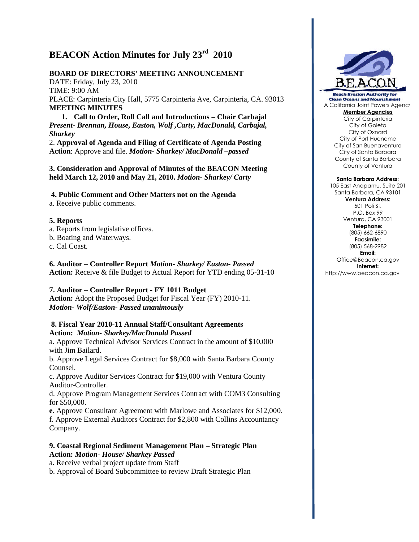# **BEACON Action Minutes for July 23rd 2010**

# **BOARD OF DIRECTORS' MEETING ANNOUNCEMENT**

DATE: Friday, July 23, 2010 TIME: 9:00 AM PLACE: Carpinteria City Hall, 5775 Carpinteria Ave, Carpinteria, CA. 93013 **MEETING MINUTES**

**1. Call to Order, Roll Call and Introductions – Chair Carbajal** *Present- Brennan, House, Easton, Wolf ,Carty, MacDonald, Carbajal, Sharkey*

2. **Approval of Agenda and Filing of Certificate of Agenda Posting Action**: Approve and file. *Motion- Sharkey/ MacDonald –passed*

**3. Consideration and Approval of Minutes of the BEACON Meeting held March 12, 2010 and May 21, 2010.** *Motion- Sharkey/ Carty*

**4. Public Comment and Other Matters not on the Agenda**

a. Receive public comments.

### **5. Reports**

- a. Reports from legislative offices.
- b. Boating and Waterways.

c. Cal Coast.

**6. Auditor – Controller Report** *Motion- Sharkey/ Easton- Passed* **Action:** Receive & file Budget to Actual Report for YTD ending 05-31-10

### **7. Auditor – Controller Report - FY 1011 Budget**

**Action:** Adopt the Proposed Budget for Fiscal Year (FY) 2010-11. *Motion***-** *Wolf/Easton- Passed unanimously*

#### **8. Fiscal Year 2010-11 Annual Staff/Consultant Agreements Action:** *Motion- Sharkey/MacDonald Passed*

a. Approve Technical Advisor Services Contract in the amount of \$10,000 with Jim Bailard.

b. Approve Legal Services Contract for \$8,000 with Santa Barbara County Counsel.

c. Approve Auditor Services Contract for \$19,000 with Ventura County Auditor-Controller.

d. Approve Program Management Services Contract with COM3 Consulting for \$50,000.

**e.** Approve Consultant Agreement with Marlowe and Associates for \$12,000. f. Approve External Auditors Contract for \$2,800 with Collins Accountancy Company.

#### **9. Coastal Regional Sediment Management Plan – Strategic Plan Action:** *Motion- House/ Sharkey Passed*

a. Receive verbal project update from Staff

b. Approval of Board Subcommittee to review Draft Strategic Plan



**Beach Erosion Authority for Clean Oceans and Nourishmen** A California Joint Powers Agency **Member Agencies**

City of Carpinteria City of Goleta City of Oxnard City of Port Hueneme City of San Buenaventura City of Santa Barbara County of Santa Barbara County of Ventura

#### **Santa Barbara Address:**

105 East Anapamu, Suite 201 Santa Barbara, CA 93101 **Ventura Address:** 501 Poli St. P.O. Box 99 Ventura, CA 93001 **Telephone:** (805) 662-6890 **Facsimile:** (805) 568-2982 **Email:** Office@Beacon.ca.gov **Internet:** http://www.beacon.ca.gov